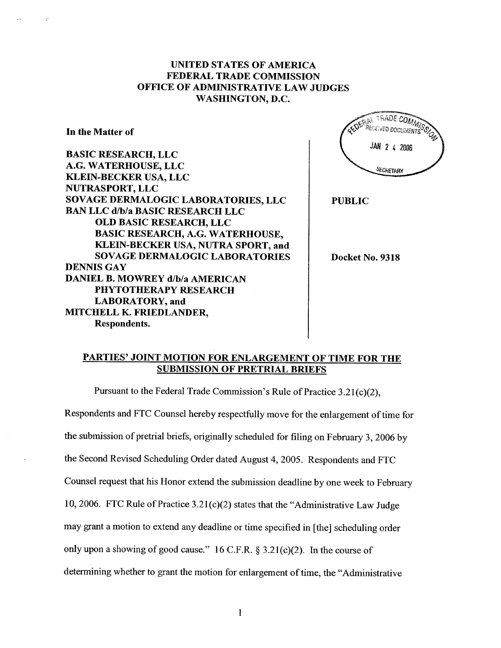## UNITED STATES OF AMERICA FEDERAL TRADE COMMISSION OFFICE OF ADMINISTRATIVE LAW JUDGES WASHINGTON, D.

In the Matter of

BASIC RESEARCH, LLC G. WATERHOUSE, LLC KLEIN-BECKER USA, LLC NUTRASPORT, LLC SOVAGE DERMALOGIC LABORATORIES, LLC BAN LLC d/b/a BASIC RESEARCH LLC OLD BASIC RESEARCH, LLC BASIC RESEARCH, A.G. WATERHOUSE KLEIN-BECKER USA, NUTRA SPORT, and SOVAGE DERMALOGIC LABORATORIES DENNIS GAY DANIEL B. MOWREY d/b/a AMERICAN PHYTOTHERAPY RESEARCH LABORATORY, and MITCHELL K. FRIEDLANDER Respondents.

**A TRADE COMM ECEIVED DOCUMENTS** JAN 2 4 2006 **SECRETARY** 

PUBLIC

Docket No. 9318

#### PARTIES' JOINT MOTION FOR ENLARGEMENT OF TIME FOR THE SUBMISSION OF PRETRIAL BRIEFS

Pursuant to the Federal Trade Commission's Rule of Practice  $3.21(c)(2)$ ,

Respondents and FTC Counsel hereby respectfully move for the enlargement of time for the submission of pretrial briefs, originally scheduled for filing on February 3, 2006 by the Second Revised Scheduling Order dated August 4, 2005. Respondents and FTC Counsel request that his Honor extend the submission deadline by one week to February 10, 2006. FTC Rule of Practice  $3.21(c)(2)$  states that the "Administrative Law Judge" may grant a motion to extend any deadline or time specified in (the) scheduling order only upon a showing of good cause." 16 C.F.R.  $\S 3.21(c)(2)$ . In the course of detennining whether to grant the motion for enlargement of time, the "Administrative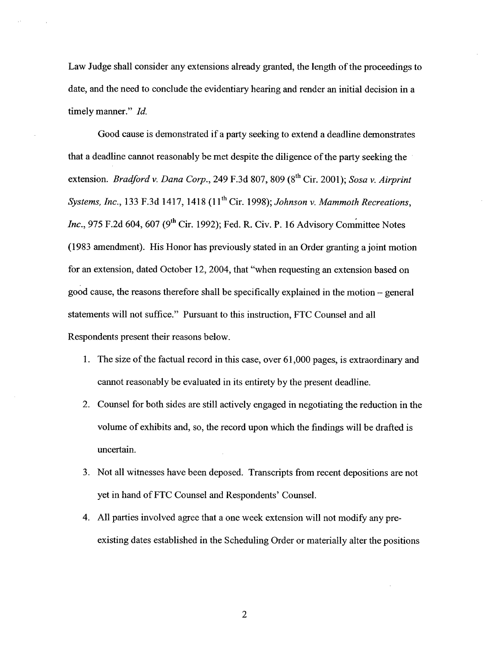Law Judge shall consider any extensions already granted, the length of the proceedings to date, and the need to conclude the evidentiary hearing and render an initial decision in a timely manner." Id.

Good cause is demonstrated if a party seeking to extend a deadline demonstrates that a deadline cannot reasonably be met despite the diligence ofthe party seeking the extension. Bradford v. Dana Corp., 249 F.3d 807, 809 (8<sup>th</sup> Cir. 2001); Sosa v. Airprint Systems, Inc., 133 F.3d 1417, 1418  $(11<sup>th</sup> Cir. 1998)$ ; Johnson v. Mammoth Recreations, Inc., 975 F.2d 604, 607 (9<sup>th</sup> Cir. 1992); Fed. R. Civ. P. 16 Advisory Committee Notes (l983 amendment). His Honor has previously stated in an Order granting a joint motion for an extension, dated October 12, 2004, that "when requesting an extension based on good cause, the reasons therefore shall be specifically explained in the motion - general statements will not suffice." Pursuant to this instruction, FTC Counsel and all Respondents present their reasons below.

- 1. The size of the factual record in this case, over 61 000 pages, is extraordinary and cannot reasonably be evaluated in its entirety by the present deadline.
- 2. Counsel for both sides are stil actively engaged in negotiating the reduction in the volume of exhibits and, so, the record upon which the findings wil be drafted is uncertain.
- 3. Not all witnesses have been deposed. Transcripts from recent depositions are not yet in hand of FTC Counsel and Respondents' Counsel.
- 4. All parties involved agree that a one week extension wil not modify any preexisting dates established in the Scheduling Order or materially alter the positions

 $\overline{2}$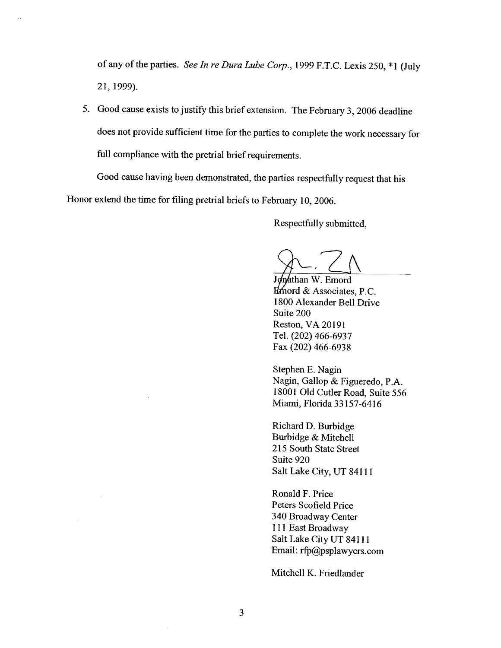of any of the parties. See In re Dura Lube Corp., 1999 F.T.C. Lexis 250, \*1 (July 21, 1999).

5. Good cause exists to justify this brief extension. The February 3, 2006 deadline does not provide sufficient time for the parties to complete the work necessary for full compliance with the pretrial brief requirements.

Good cause having been demonstrated, the parties respectfully request that his Honor extend the time for filing pretrial briefs to February 10, 2006.

Respectfully submitted

Jonathan W. Emord  $H$ mord & Associates, P.C. 1800 Alexander Bell Drive Suite 200 Reston, VA 20191 Tel. (202) 466-6937 Fax (202) 466-6938

Stephen E. Nagin Nagin, Gallop & Figueredo, P. 18001 Old Cutler Road, Suite 556 Miami, Florida 33157-6416

Richard D. Burbidge Burbidge & Mitchell 215 South State Street Suite 920 Salt Lake City, UT 84111

Ronald F. Price Peters Scofield Price 340 Broadway Center <sup>111</sup>East Broadway Salt Lake City UT 84111 Email:  $rfp@psplawvers.com$ 

Mitchell K. Friedlander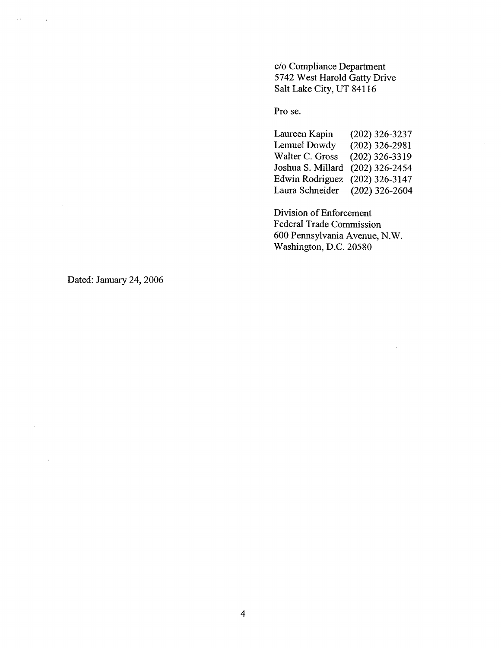c/o Compliance Department 5742 West Harold Gatty Drive Salt Lake City, UT 84116

Pro se.

Laureen Kapin Lemuel Dowdy Walter C. Gross Joshua S. Milard (202) 326-2454 Edwin Rodriguez (202) 326-3147 Laura Schneider (202) 326-3237 (202) 326-2981 (202) 326-3319 (202) 326-2604

Division of Enforcement Federal Trade Commission 600 Pennsylvania Avenue, N. Washington, D.C. 20580

Dated: January 24, 2006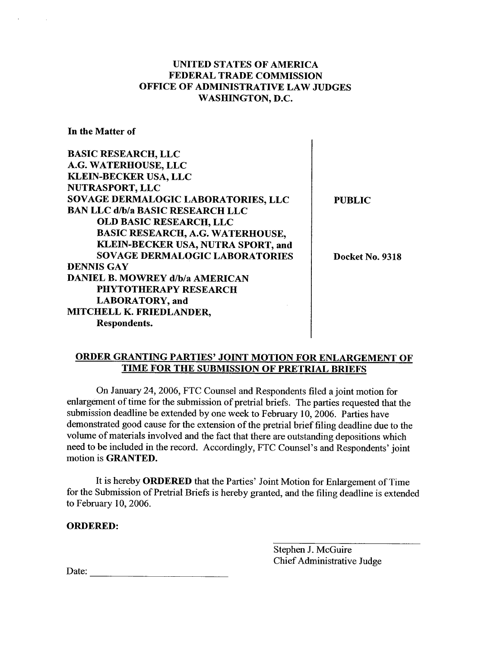# UNITED STATES OF AMERICA FEDERAL TRADE COMMISSION OFFICE OF ADMINISTRATIVE LAW JUDGES WASHINGTON, D.

 $\mathbf{I}$ 

 $\overline{\phantom{a}}$ 

In the Matter of

| <b>BASIC RESEARCH, LLC</b>              |                 |
|-----------------------------------------|-----------------|
| A.G. WATERHOUSE, LLC                    |                 |
| <b>KLEIN-BECKER USA, LLC</b>            |                 |
| <b>NUTRASPORT, LLC</b>                  |                 |
| SOVAGE DERMALOGIC LABORATORIES, LLC     | <b>PUBLIC</b>   |
| <b>BAN LLC d/b/a BASIC RESEARCH LLC</b> |                 |
| <b>OLD BASIC RESEARCH, LLC</b>          |                 |
| BASIC RESEARCH, A.G. WATERHOUSE,        |                 |
| KLEIN-BECKER USA, NUTRA SPORT, and      |                 |
| <b>SOVAGE DERMALOGIC LABORATORIES</b>   | Docket No. 9318 |
| <b>DENNIS GAY</b>                       |                 |
| <b>DANIEL B. MOWREY d/b/a AMERICAN</b>  |                 |
| PHYTOTHERAPY RESEARCH                   |                 |
| <b>LABORATORY</b> , and                 |                 |
| MITCHELL K. FRIEDLANDER,                |                 |
| Respondents.                            |                 |
|                                         |                 |

### ORDER GRANTING PARTIES' JOINT MOTION FOR ENLARGEMENT OF TIME FOR THE SUBMISSION OF PRETRIAL BRIEFS

On January 24 2006, FTC Counsel and Respondents filed a joint motion for enlargement of time for the submission of pretrial briefs. The parties requested that the submission deadline be extended by one week to February 10, 2006. Parties have demonstrated good cause for the extension of the pretrial brief filing deadline due to the volume of materials involved and the fact that there are outstanding depositions which need to be included in the record. Accordingly, FTC Counsel's and Respondents' joint motion is GRANTED.

It is hereby ORDERED that the Parties' Joint Motion for Enlargement of Time for the Submission of Pretral Briefs is hereby granted, and the filing deadline is extended to February 10, 2006.

ORDERED:

Stephen J. McGuire Chief Administrative Judge

Date: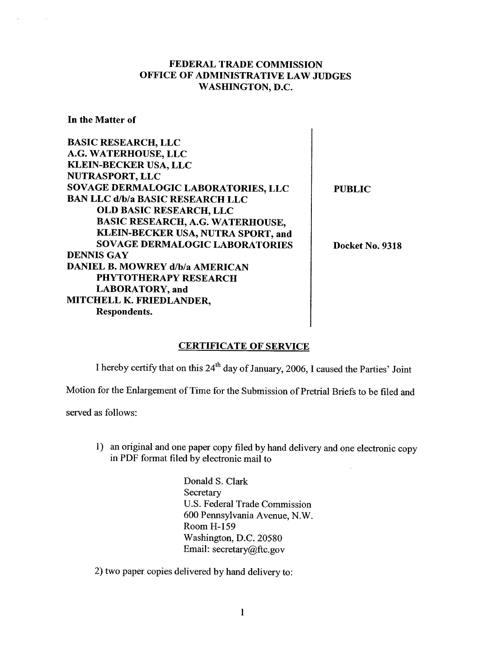## FEDERAL TRADE COMMISSION OFFICE OF ADMINISTRATIVE LAW JUDGES WASHINGTON, D.

In the Matter of

 $\sim$ 

| <b>BASIC RESEARCH, LLC</b>              |                 |
|-----------------------------------------|-----------------|
| A.G. WATERHOUSE, LLC                    |                 |
| <b>KLEIN-BECKER USA, LLC</b>            |                 |
| NUTRASPORT, LLC                         |                 |
| SOVAGE DERMALOGIC LABORATORIES, LLC     | <b>PUBLIC</b>   |
| <b>BAN LLC d/b/a BASIC RESEARCH LLC</b> |                 |
| <b>OLD BASIC RESEARCH, LLC</b>          |                 |
| <b>BASIC RESEARCH, A.G. WATERHOUSE.</b> |                 |
| KLEIN-BECKER USA, NUTRA SPORT, and      |                 |
| <b>SOVAGE DERMALOGIC LABORATORIES</b>   | Docket No. 9318 |
| <b>DENNIS GAY</b>                       |                 |
| <b>DANIEL B. MOWREY d/b/a AMERICAN</b>  |                 |
| <b>PHYTOTHERAPY RESEARCH</b>            |                 |
| LABORATORY, and                         |                 |
| MITCHELL K. FRIEDLANDER,                |                 |
| Respondents.                            |                 |
|                                         |                 |

### CERTIFICATE OF SERVICE

I hereby certify that on this 24<sup>th</sup> day of January, 2006, I caused the Parties' Joint

Motion for the Enlargement of Time for the Submission of Pretrial Briefs to be filed and

served as follows:

1) an original and one paper copy filed by hand delivery and one electronic copy in PDF fonnat filed by electronic mail to

 $\mathbb{R}^2$ 

Donald S. Clark Secretary U.S. Federal Trade Commission 600 Pennsylvania Avenue, N. Room H-159 Washington, D.C. 20580 Email: secretary@ftc.gov

2) two paper copies delivered by hand delivery to: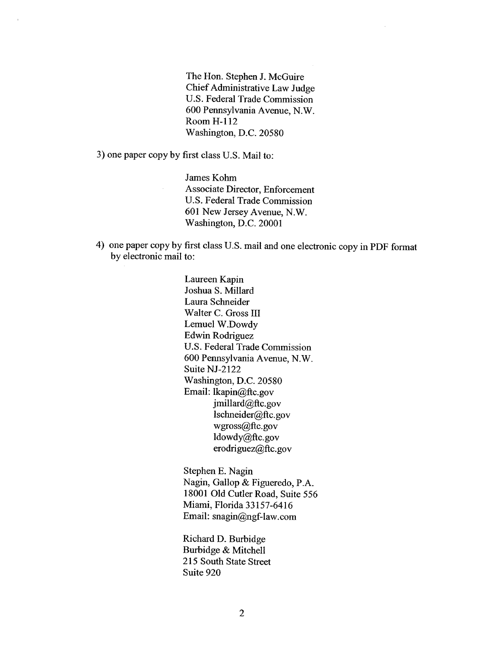The Hon. Stephen J. McGuire Chief Administrative Law Judge U.S. Federal Trade Commission 600 Pennsylvania Avenue, N. Room H-112 Washington, D.C. 20580

3) one paper copy by first class U.S. Mail to:

James Kohm Associate Director, Enforcement U.S. Federal Trade Commission 601 New Jersey Avenue, N. Washington, D.C. 20001

4) one paper copy by first class U.S. mail and one electronic copy in PDF fonnat by electronic mail to:

> Laureen Kapin Joshua S. Milard Laura Schneider Walter C. Gross II Lemuel W.Dowdy Edwin Rodriguez U.S. Federal Trade Commission 600 Pennsylvania Avenue, N. Suite NJ-2122 Washington, D.C. 20580 Email: lkapin@ftc.gov  $j$ millard@ftc.gov lschneider@ftc.gov wgross@ftc.gov ldowdy@ftc.gov erodriguez@ftc.gov

Stephen E. Nagin Nagin, Gallop & Figueredo, P. 18001 Old Cutler Road, Suite 556 Miami, Florida 33157-6416 Email: snagin@ngf-law.com

Richard D. Burbidge Burbidge & Mitchell 215 South State Street Suite 920